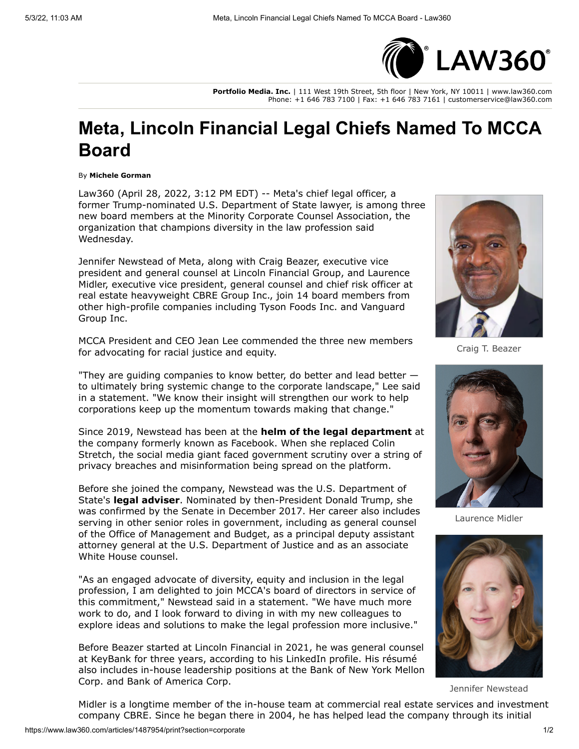

**Portfolio Media. Inc.** | 111 West 19th Street, 5th floor | New York, NY 10011 | www.law360.com Phone: +1 646 783 7100 | Fax: +1 646 783 7161 | customerservice@law360.com

## **Meta, Lincoln Financial Legal Chiefs Named To MCCA Board**

## By **Michele Gorman**

Law360 (April 28, 2022, 3:12 PM EDT) -- Meta's chief legal officer, a former Trump-nominated [U.S. Department of State](https://www.law360.com/agencies/u-s-department-of-state) lawyer, is among three new board members at the Minority Corporate Counsel Association, the organization that champions diversity in the law profession said Wednesday.

Jennifer Newstead of Meta, along with Craig Beazer, executive vice president and general counsel at [Lincoln Financial Group](https://www.law360.com/companies/lincoln-national-corp), and Laurence Midler, executive vice president, general counsel and chief risk officer at real estate heavyweight [CBRE Group Inc](https://www.law360.com/companies/cbre-group-inc)., join 14 board members from [other high-profile companies including T](https://www.law360.com/companies/the-vanguard-group-inc)[yson Foods In](https://www.law360.com/companies/tyson-foods-inc)[c. and Vanguard](https://www.law360.com/companies/the-vanguard-group-inc) Group Inc.

MCCA President and CEO Jean Lee commended the three new members for advocating for racial justice and equity.

"They are guiding companies to know better, do better and lead better to ultimately bring systemic change to the corporate landscape," Lee said in a statement. "We know their insight will strengthen our work to help corporations keep up the momentum towards making that change."

Since 2019, Newstead has been at the **[helm of the legal department](https://www.law360.com/articles/1152636)** at the company formerly known as Facebook. When she replaced Colin Stretch, the social media giant faced government scrutiny over a string of privacy breaches and misinformation being spread on the platform.

Before she joined the company, Newstead was the U.S. Department of State's **[legal adviser](https://www.law360.com/articles/1152338)**. Nominated by then-President Donald Trump, she was confirmed by the Senate in December 2017. Her career also includes serving in other senior roles in government, including as general counsel of the [Office of Management and Budget](https://www.law360.com/agencies/executive-office-of-the-president), as a principal deputy assistant attorney general at the [U.S. Department of Justice](https://www.law360.com/agencies/u-s-department-of-justice) and as an associate White House counsel.

"As an engaged advocate of diversity, equity and inclusion in the legal profession, I am delighted to join MCCA's board of directors in service of this commitment," Newstead said in a statement. "We have much more work to do, and I look forward to diving in with my new colleagues to explore ideas and solutions to make the legal profession more inclusive."

Before Beazer started at Lincoln Financial in 2021, he was general counsel at KeyBank for three years, according to his [LinkedIn](https://www.law360.com/companies/linkedin-corp) profile. His résumé [also includes in-house leadership positions at the Bank of New York Mellon](https://www.law360.com/companies/the-bank-of-new-york-mellon-corp) Corp. and [Bank of America Corp](https://www.law360.com/companies/bank-of-america-corp).



Craig T. Beazer



Laurence Midler



Jennifer Newstead

Midler is a longtime member of the in-house team at commercial real estate services and investment company CBRE. Since he began there in 2004, he has helped lead the company through its initial